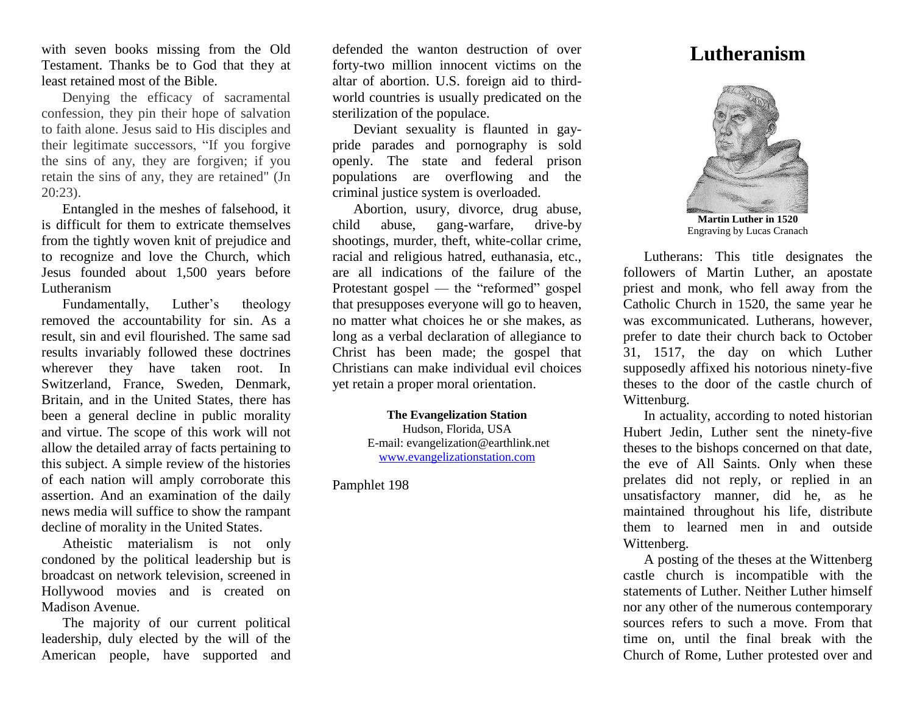with seven books missing from the Old Testament. Thanks be to God that they at least retained most of the Bible.

Denying the efficacy of sacramental confession, they pin their hope of salvation to faith alone. Jesus said to His disciples and their legitimate successors, "If you forgive the sins of any, they are forgiven; if you retain the sins of any, they are retained" (Jn 20:23).

Entangled in the meshes of falsehood, it is difficult for them to extricate themselves from the tightly woven knit of prejudice and to recognize and love the Church, which Jesus founded about 1,500 years before Lutheranism

Fundamentally, Luther's theology removed the accountability for sin. As a result, sin and evil flourished. The same sad results invariably followed these doctrines wherever they have taken root. In Switzerland, France, Sweden, Denmark, Britain, and in the United States, there has been a general decline in public morality and virtue. The scope of this work will not allow the detailed array of facts pertaining to this subject. A simple review of the histories of each nation will amply corroborate this assertion. And an examination of the daily news media will suffice to show the rampant decline of morality in the United States.

Atheistic materialism is not only condoned by the political leadership but is broadcast on network television, screened in Hollywood movies and is created on Madison Avenue.

The majority of our current political leadership, duly elected by the will of the American people, have supported and

defended the wanton destruction of over forty-two million innocent victims on the altar of abortion. U.S. foreign aid to thirdworld countries is usually predicated on the sterilization of the populace.

Deviant sexuality is flaunted in gaypride parades and pornography is sold openly. The state and federal prison populations are overflowing and the criminal justice system is overloaded.

Abortion, usury, divorce, drug abuse, child abuse, gang-warfare, drive-by shootings, murder, theft, white-collar crime, racial and religious hatred, euthanasia, etc., are all indications of the failure of the Protestant gospel — the "reformed" gospel that presupposes everyone will go to heaven, no matter what choices he or she makes, as long as a verbal declaration of allegiance to Christ has been made; the gospel that Christians can make individual evil choices yet retain a proper moral orientation.

> **The Evangelization Station** Hudson, Florida, USA E-mail: evangelization@earthlink.net [www.evangelizationstation.com](http://www.pjpiisoe.org/)

Pamphlet 198

## **Lutheranism**



**Martin Luther in 1520** Engraving by Lucas Cranach

Lutherans: This title designates the followers of Martin Luther, an apostate priest and monk, who fell away from the Catholic Church in 1520, the same year he was excommunicated. Lutherans, however, prefer to date their church back to October 31, 1517, the day on which Luther supposedly affixed his notorious ninety-five theses to the door of the castle church of Wittenburg.

In actuality, according to noted historian Hubert Jedin, Luther sent the ninety-five theses to the bishops concerned on that date, the eve of All Saints. Only when these prelates did not reply, or replied in an unsatisfactory manner, did he, as he maintained throughout his life, distribute them to learned men in and outside Wittenberg.

A posting of the theses at the Wittenberg castle church is incompatible with the statements of Luther. Neither Luther himself nor any other of the numerous contemporary sources refers to such a move. From that time on, until the final break with the Church of Rome, Luther protested over and